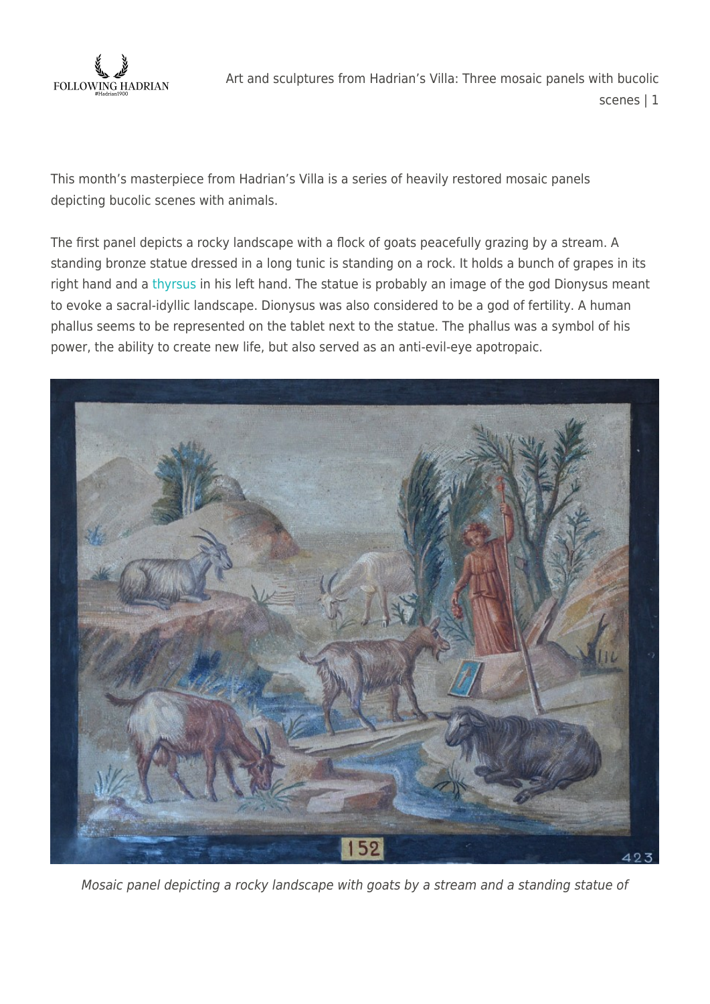

This month's masterpiece from Hadrian's Villa is a series of heavily restored mosaic panels depicting bucolic scenes with animals.

The first panel depicts a rocky landscape with a flock of goats peacefully grazing by a stream. A standing bronze statue dressed in a long tunic is standing on a rock. It holds a bunch of grapes in its right hand and a [thyrsus](https://en.wikipedia.org/wiki/Thyrsus) in his left hand. The statue is probably an image of the god Dionysus meant to evoke a sacral-idyllic landscape. Dionysus was also considered to be a god of fertility. A human phallus seems to be represented on the tablet next to the statue. The phallus was a symbol of his power, the ability to create new life, but also served as an anti-evil-eye apotropaic.



Mosaic panel depicting a rocky landscape with goats by a stream and a standing statue of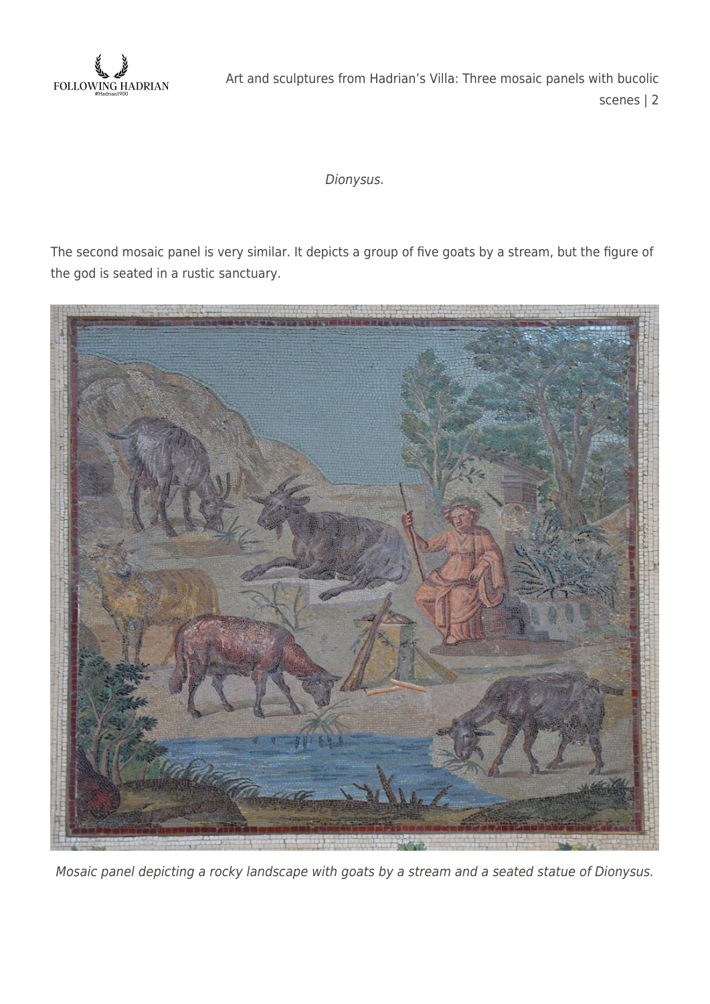

## Dionysus.

The second mosaic panel is very similar. It depicts a group of five goats by a stream, but the figure of the god is seated in a rustic sanctuary.



Mosaic panel depicting a rocky landscape with goats by a stream and a seated statue of Dionysus.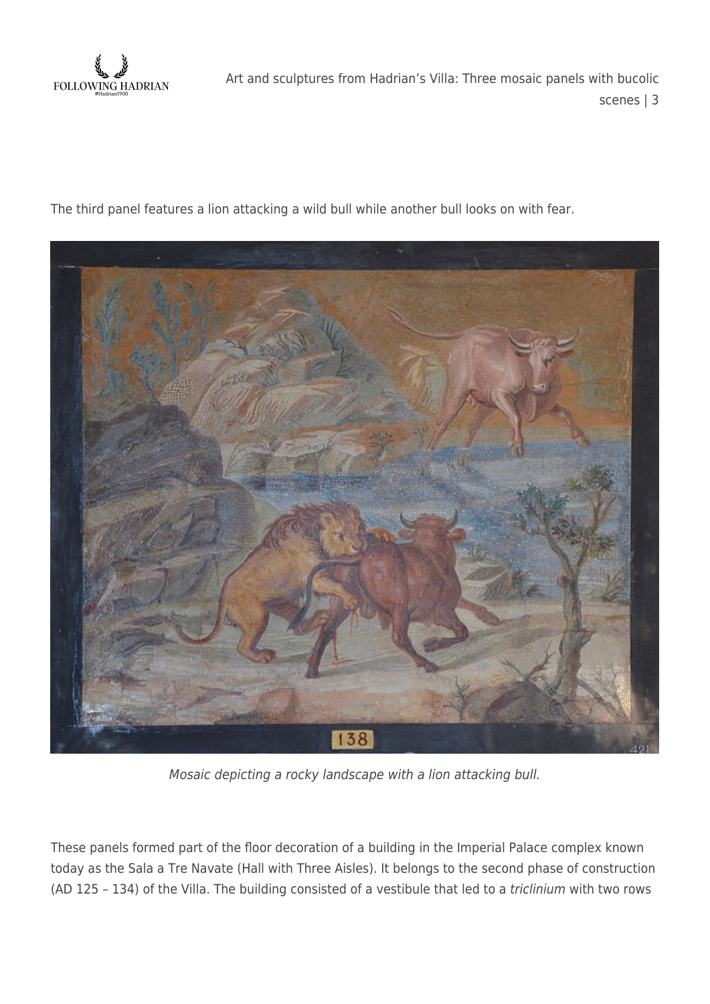

The third panel features a lion attacking a wild bull while another bull looks on with fear.



Mosaic depicting a rocky landscape with a lion attacking bull.

These panels formed part of the floor decoration of a building in the Imperial Palace complex known today as the Sala a Tre Navate (Hall with Three Aisles). It belongs to the second phase of construction (AD 125 – 134) of the Villa. The building consisted of a vestibule that led to a triclinium with two rows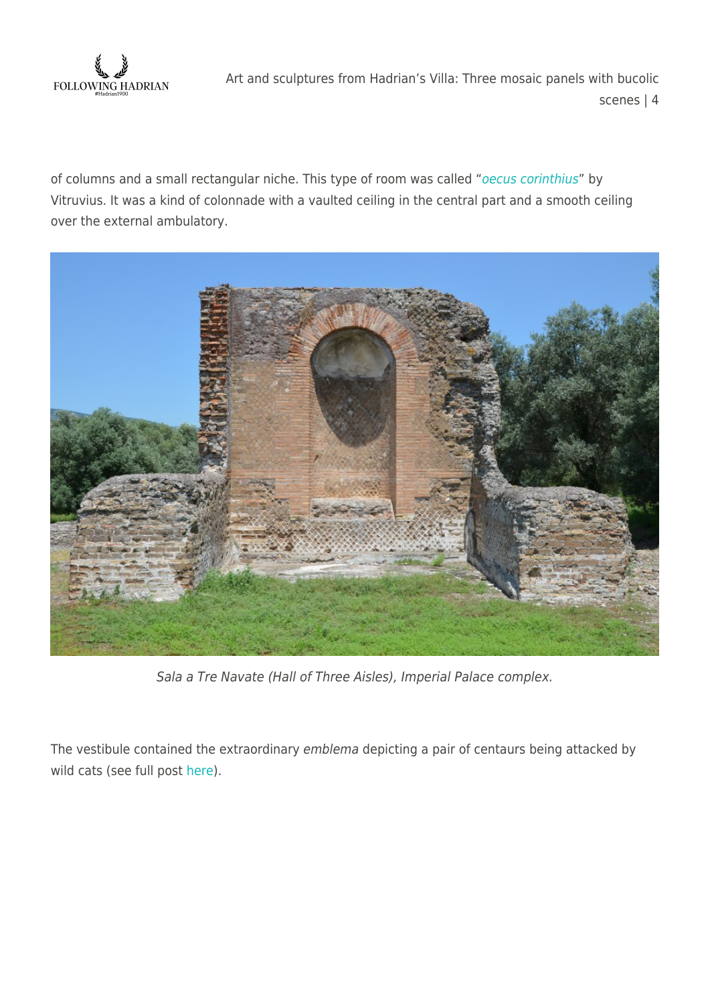

of columns and a small rectangular niche. This type of room was called "[oecus corinthius](https://de.pinterest.com/pin/493214596667143163/)" by Vitruvius. It was a kind of colonnade with a vaulted ceiling in the central part and a smooth ceiling over the external ambulatory.



Sala a Tre Navate (Hall of Three Aisles), Imperial Palace complex.

The vestibule contained the extraordinary emblema depicting a pair of centaurs being attacked by wild cats (see full post [here](https://followinghadrian.com/2014/01/20/art-and-scuptures-from-hadrians-villa-mosaic-pair-of-centaurs-fighting-wild-cats/)).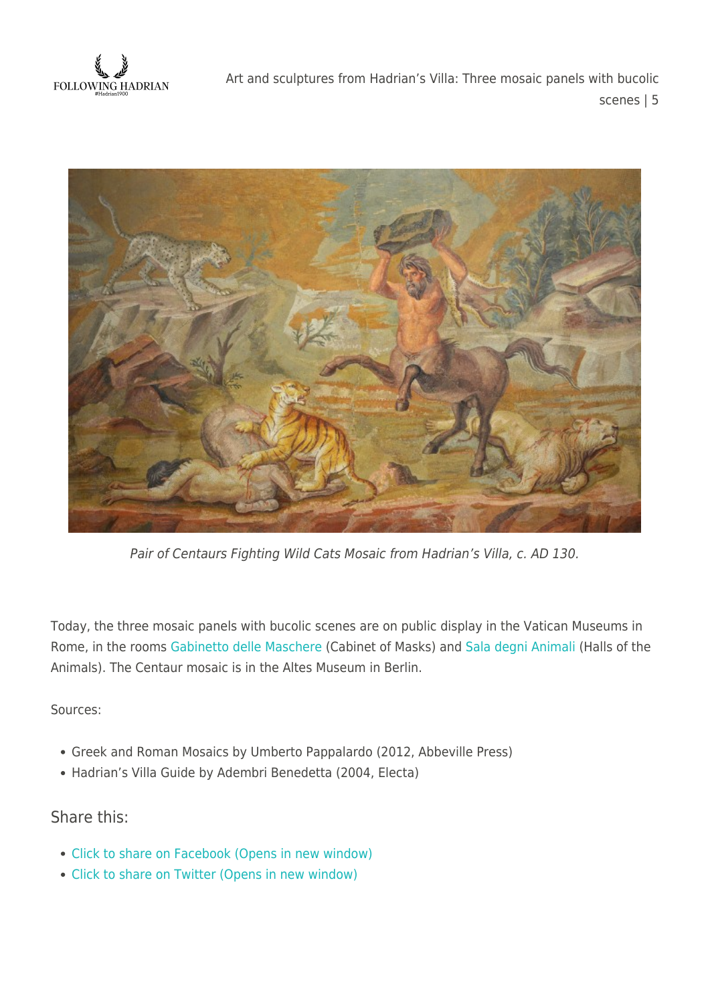FOLLOWING HADRIAN



Pair of Centaurs Fighting Wild Cats Mosaic from Hadrian's Villa, c. AD 130.

Today, the three mosaic panels with bucolic scenes are on public display in the Vatican Museums in Rome, in the rooms [Gabinetto delle Maschere](http://www.museivaticani.va/3_EN/pages/MPC/MPC_Sala05.html) (Cabinet of Masks) and [Sala degni Animali](http://www.museivaticani.va/3_EN/pages/MPC/MPC_Sala05.html) (Halls of the Animals). The Centaur mosaic is in the Altes Museum in Berlin.

Sources:

- Greek and Roman Mosaics by Umberto Pappalardo (2012, Abbeville Press)
- Hadrian's Villa Guide by Adembri Benedetta (2004, Electa)

Share this:

- [Click to share on Facebook \(Opens in new window\)](https://followinghadrian.com/2016/08/28/art-and-sculptures-from-hadrians-villa-three-mosaic-panels-with-bucolic-scenes/?share=facebook)
- [Click to share on Twitter \(Opens in new window\)](https://followinghadrian.com/2016/08/28/art-and-sculptures-from-hadrians-villa-three-mosaic-panels-with-bucolic-scenes/?share=twitter)